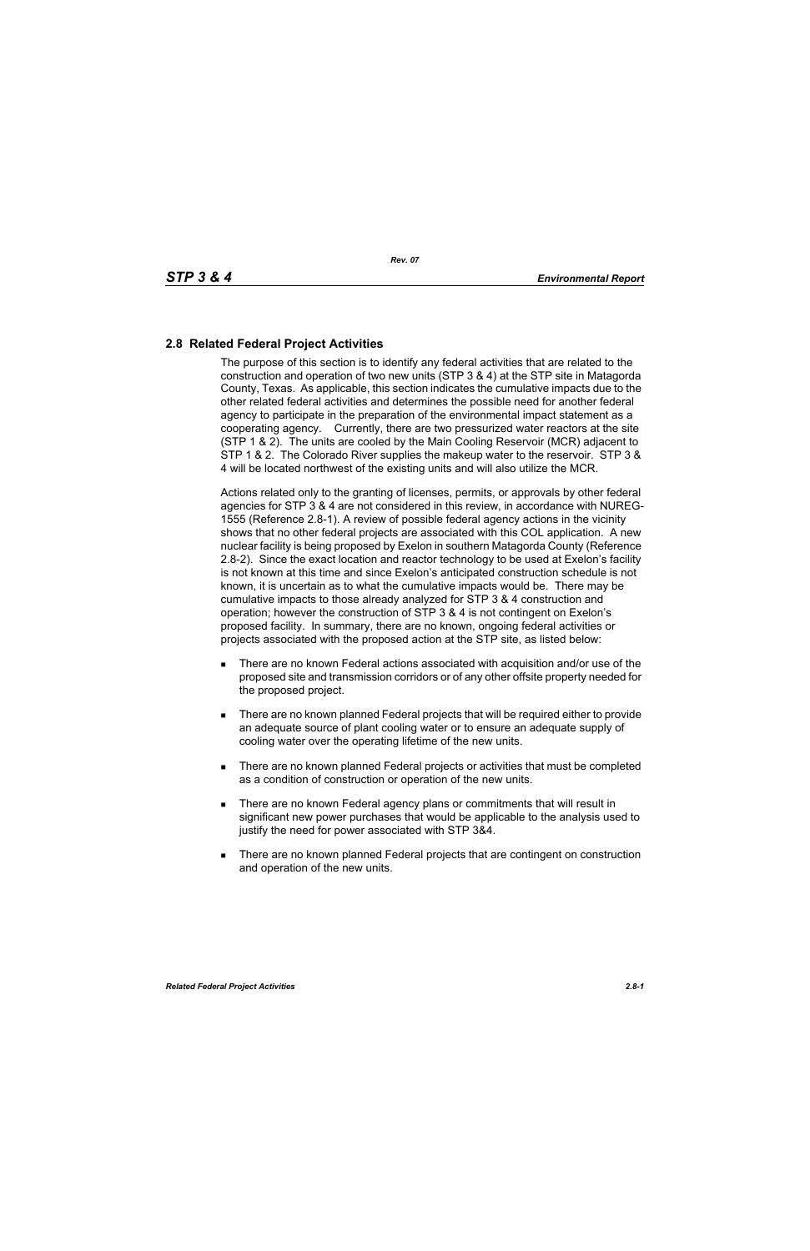## **2.8 Related Federal Project Activities**

The purpose of this section is to identify any federal activities that are related to the construction and operation of two new units (STP 3 & 4) at the STP site in Matagorda County, Texas. As applicable, this section indicates the cumulative impacts due to the other related federal activities and determines the possible need for another federal agency to participate in the preparation of the environmental impact statement as a cooperating agency. Currently, there are two pressurized water reactors at the site (STP 1 & 2). The units are cooled by the Main Cooling Reservoir (MCR) adjacent to STP 1 & 2. The Colorado River supplies the makeup water to the reservoir. STP 3 & 4 will be located northwest of the existing units and will also utilize the MCR.

Actions related only to the granting of licenses, permits, or approvals by other federal agencies for STP 3 & 4 are not considered in this review, in accordance with NUREG-1555 (Reference 2.8-1). A review of possible federal agency actions in the vicinity shows that no other federal projects are associated with this COL application. A new nuclear facility is being proposed by Exelon in southern Matagorda County (Reference 2.8-2). Since the exact location and reactor technology to be used at Exelon's facility is not known at this time and since Exelon's anticipated construction schedule is not known, it is uncertain as to what the cumulative impacts would be. There may be cumulative impacts to those already analyzed for STP 3 & 4 construction and operation; however the construction of STP 3 & 4 is not contingent on Exelon's proposed facility. In summary, there are no known, ongoing federal activities or projects associated with the proposed action at the STP site, as listed below:

- There are no known Federal actions associated with acquisition and/or use of the proposed site and transmission corridors or of any other offsite property needed for the proposed project.
- **There are no known planned Federal projects that will be required either to provide** an adequate source of plant cooling water or to ensure an adequate supply of cooling water over the operating lifetime of the new units.
- There are no known planned Federal projects or activities that must be completed as a condition of construction or operation of the new units.
- **There are no known Federal agency plans or commitments that will result in** significant new power purchases that would be applicable to the analysis used to justify the need for power associated with STP 3&4.
- **There are no known planned Federal projects that are contingent on construction** and operation of the new units.